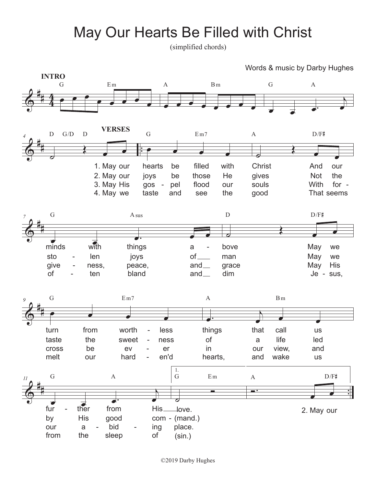## May Our Hearts Be Filled with Christ

(simplified chords)

Words & music by Darby Hughes



©2019 Darby Hughes